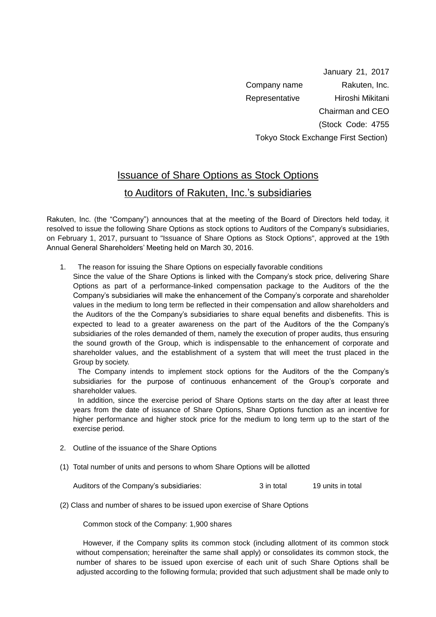January 21, 2017 Company name Rakuten, Inc. Representative Hiroshi Mikitani Chairman and CEO (Stock Code: 4755 Tokyo Stock Exchange First Section)

## Issuance of Share Options as Stock Options

## to Auditors of Rakuten, Inc.'s subsidiaries

Rakuten, Inc. (the "Company") announces that at the meeting of the Board of Directors held today, it resolved to issue the following Share Options as stock options to Auditors of the Company's subsidiaries, on February 1, 2017, pursuant to "Issuance of Share Options as Stock Options", approved at the 19th Annual General Shareholders' Meeting held on March 30, 2016.

1. The reason for issuing the Share Options on especially favorable conditions

Since the value of the Share Options is linked with the Company's stock price, delivering Share Options as part of a performance-linked compensation package to the Auditors of the the Company's subsidiaries will make the enhancement of the Company's corporate and shareholder values in the medium to long term be reflected in their compensation and allow shareholders and the Auditors of the the Company's subsidiaries to share equal benefits and disbenefits. This is expected to lead to a greater awareness on the part of the Auditors of the the Company's subsidiaries of the roles demanded of them, namely the execution of proper audits, thus ensuring the sound growth of the Group, which is indispensable to the enhancement of corporate and shareholder values, and the establishment of a system that will meet the trust placed in the Group by society.

The Company intends to implement stock options for the Auditors of the the Company's subsidiaries for the purpose of continuous enhancement of the Group's corporate and shareholder values.

In addition, since the exercise period of Share Options starts on the day after at least three years from the date of issuance of Share Options, Share Options function as an incentive for higher performance and higher stock price for the medium to long term up to the start of the exercise period.

- 2. Outline of the issuance of the Share Options
- (1) Total number of units and persons to whom Share Options will be allotted

Auditors of the Company's subsidiaries: 3 in total 19 units in total

(2) Class and number of shares to be issued upon exercise of Share Options

Common stock of the Company: 1,900 shares

However, if the Company splits its common stock (including allotment of its common stock without compensation; hereinafter the same shall apply) or consolidates its common stock, the number of shares to be issued upon exercise of each unit of such Share Options shall be adjusted according to the following formula; provided that such adjustment shall be made only to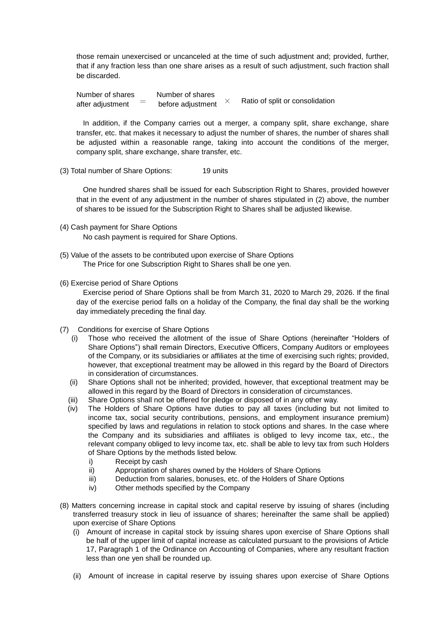those remain unexercised or uncanceled at the time of such adjustment and; provided, further, that if any fraction less than one share arises as a result of such adjustment, such fraction shall be discarded.

Number of shares Number of shares after adjustment  $\overline{=}$  before adjustment  $\times$  Ratio of split or consolidation

In addition, if the Company carries out a merger, a company split, share exchange, share transfer, etc. that makes it necessary to adjust the number of shares, the number of shares shall be adjusted within a reasonable range, taking into account the conditions of the merger, company split, share exchange, share transfer, etc.

(3) Total number of Share Options: 19 units

One hundred shares shall be issued for each Subscription Right to Shares, provided however that in the event of any adjustment in the number of shares stipulated in (2) above, the number of shares to be issued for the Subscription Right to Shares shall be adjusted likewise.

- (4) Cash payment for Share Options No cash payment is required for Share Options.
- (5) Value of the assets to be contributed upon exercise of Share Options The Price for one Subscription Right to Shares shall be one yen.
- (6) Exercise period of Share Options

Exercise period of Share Options shall be from March 31, 2020 to March 29, 2026. If the final day of the exercise period falls on a holiday of the Company, the final day shall be the working day immediately preceding the final day.

- (7) Conditions for exercise of Share Options
	- (i) Those who received the allotment of the issue of Share Options (hereinafter "Holders of Share Options") shall remain Directors, Executive Officers, Company Auditors or employees of the Company, or its subsidiaries or affiliates at the time of exercising such rights; provided, however, that exceptional treatment may be allowed in this regard by the Board of Directors in consideration of circumstances.
	- (ii) Share Options shall not be inherited; provided, however, that exceptional treatment may be allowed in this regard by the Board of Directors in consideration of circumstances.
	- (iii) Share Options shall not be offered for pledge or disposed of in any other way.
	- (iv) The Holders of Share Options have duties to pay all taxes (including but not limited to income tax, social security contributions, pensions, and employment insurance premium) specified by laws and regulations in relation to stock options and shares. In the case where the Company and its subsidiaries and affiliates is obliged to levy income tax, etc., the relevant company obliged to levy income tax, etc. shall be able to levy tax from such Holders of Share Options by the methods listed below.
		- i) Receipt by cash
		- ii) Appropriation of shares owned by the Holders of Share Options
		- iii) Deduction from salaries, bonuses, etc. of the Holders of Share Options
		- iv) Other methods specified by the Company
- (8) Matters concerning increase in capital stock and capital reserve by issuing of shares (including transferred treasury stock in lieu of issuance of shares; hereinafter the same shall be applied) upon exercise of Share Options
	- (i) Amount of increase in capital stock by issuing shares upon exercise of Share Options shall be half of the upper limit of capital increase as calculated pursuant to the provisions of Article 17, Paragraph 1 of the Ordinance on Accounting of Companies, where any resultant fraction less than one yen shall be rounded up.
	- (ii) Amount of increase in capital reserve by issuing shares upon exercise of Share Options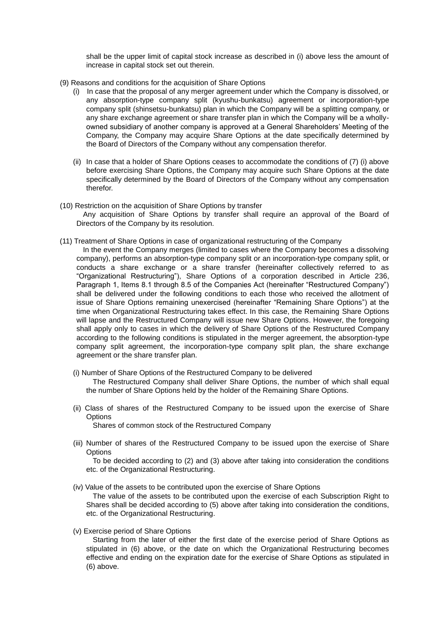shall be the upper limit of capital stock increase as described in (i) above less the amount of increase in capital stock set out therein.

- (9) Reasons and conditions for the acquisition of Share Options
	- (i) In case that the proposal of any merger agreement under which the Company is dissolved, or any absorption-type company split (kyushu-bunkatsu) agreement or incorporation-type company split (shinsetsu-bunkatsu) plan in which the Company will be a splitting company, or any share exchange agreement or share transfer plan in which the Company will be a whollyowned subsidiary of another company is approved at a General Shareholders' Meeting of the Company, the Company may acquire Share Options at the date specifically determined by the Board of Directors of the Company without any compensation therefor.
	- (ii) In case that a holder of Share Options ceases to accommodate the conditions of (7) (i) above before exercising Share Options, the Company may acquire such Share Options at the date specifically determined by the Board of Directors of the Company without any compensation therefor.
- (10) Restriction on the acquisition of Share Options by transfer Any acquisition of Share Options by transfer shall require an approval of the Board of Directors of the Company by its resolution.
- (11) Treatment of Share Options in case of organizational restructuring of the Company
	- In the event the Company merges (limited to cases where the Company becomes a dissolving company), performs an absorption-type company split or an incorporation-type company split, or conducts a share exchange or a share transfer (hereinafter collectively referred to as "Organizational Restructuring"), Share Options of a corporation described in Article 236, Paragraph 1, Items 8.1 through 8.5 of the Companies Act (hereinafter "Restructured Company") shall be delivered under the following conditions to each those who received the allotment of issue of Share Options remaining unexercised (hereinafter "Remaining Share Options") at the time when Organizational Restructuring takes effect. In this case, the Remaining Share Options will lapse and the Restructured Company will issue new Share Options. However, the foregoing shall apply only to cases in which the delivery of Share Options of the Restructured Company according to the following conditions is stipulated in the merger agreement, the absorption-type company split agreement, the incorporation-type company split plan, the share exchange agreement or the share transfer plan.
		- (i) Number of Share Options of the Restructured Company to be delivered The Restructured Company shall deliver Share Options, the number of which shall equal the number of Share Options held by the holder of the Remaining Share Options.
		- (ii) Class of shares of the Restructured Company to be issued upon the exercise of Share **Options**

Shares of common stock of the Restructured Company

(iii) Number of shares of the Restructured Company to be issued upon the exercise of Share **Options** 

To be decided according to (2) and (3) above after taking into consideration the conditions etc. of the Organizational Restructuring.

- (iv) Value of the assets to be contributed upon the exercise of Share Options The value of the assets to be contributed upon the exercise of each Subscription Right to Shares shall be decided according to (5) above after taking into consideration the conditions, etc. of the Organizational Restructuring.
- (v) Exercise period of Share Options

Starting from the later of either the first date of the exercise period of Share Options as stipulated in (6) above, or the date on which the Organizational Restructuring becomes effective and ending on the expiration date for the exercise of Share Options as stipulated in (6) above.